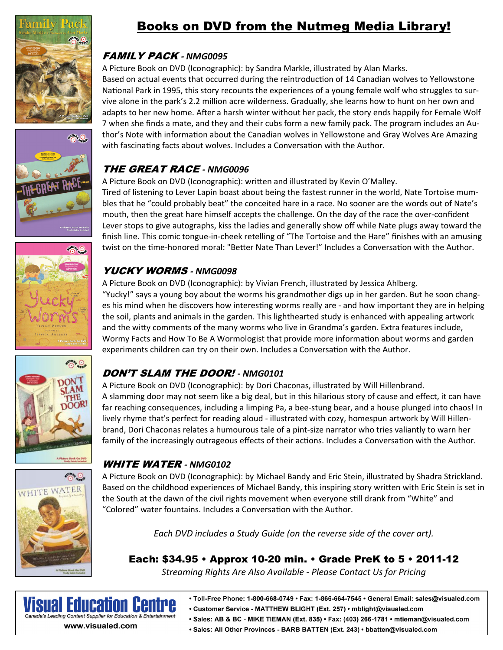







## Books on DVD from the Nutmeg Media Library!

#### FAMILY PACK *‐ NMG0095*

A Picture Book on DVD (Iconographic): by Sandra Markle, illustrated by Alan Marks. Based on actual events that occurred during the reintroduction of 14 Canadian wolves to Yellowstone National Park in 1995, this story recounts the experiences of a young female wolf who struggles to survive alone in the park's 2.2 million acre wilderness. Gradually, she learns how to hunt on her own and adapts to her new home. After a harsh winter without her pack, the story ends happily for Female Wolf 7 when she finds a mate, and they and their cubs form a new family pack. The program includes an Author's Note with information about the Canadian wolves in Yellowstone and Gray Wolves Are Amazing with fascinating facts about wolves. Includes a Conversation with the Author.

## THE GREAT RACE *‐ NMG0096*

A Picture Book on DVD (Iconographic): written and illustrated by Kevin O'Malley. Tired of listening to Lever Lapin boast about being the fastest runner in the world, Nate Tortoise mumbles that he "could probably beat" the conceited hare in a race. No sooner are the words out of Nate's mouth, then the great hare himself accepts the challenge. On the day of the race the over-confident Lever stops to give autographs, kiss the ladies and generally show off while Nate plugs away toward the finish line. This comic tongue-in-cheek retelling of "The Tortoise and the Hare" finishes with an amusing twist on the time-honored moral: "Better Nate Than Lever!" Includes a Conversation with the Author.

#### YUCKY WORMS *‐ NMG0098*

A Picture Book on DVD (Iconographic): by Vivian French, illustrated by Jessica Ahlberg. "Yucky!" says a young boy about the worms his grandmother digs up in her garden. But he soon changes his mind when he discovers how interesting worms really are - and how important they are in helping the soil, plants and animals in the garden. This lighthearted study is enhanced with appealing artwork and the witty comments of the many worms who live in Grandma's garden. Extra features include, Wormy Facts and How To Be A Wormologist that provide more information about worms and garden experiments children can try on their own. Includes a Conversation with the Author.

### DON'T SLAM THE DOOR! *‐ NMG0101*

A Picture Book on DVD (Iconographic): by Dori Chaconas, illustrated by Will Hillenbrand. A slamming door may not seem like a big deal, but in this hilarious story of cause and effect, it can have far reaching consequences, including a limping Pa, a bee-stung bear, and a house plunged into chaos! In lively rhyme that's perfect for reading aloud - illustrated with cozy, homespun artwork by Will Hillenbrand, Dori Chaconas relates a humourous tale of a pint-size narrator who tries valiantly to warn her family of the increasingly outrageous effects of their actions. Includes a Conversation with the Author.

### WHITE WATER *‐ NMG0102*

A Picture Book on DVD (Iconographic): by Michael Bandy and Eric Stein, illustrated by Shadra Strickland. Based on the childhood experiences of Michael Bandy, this inspiring story written with Eric Stein is set in the South at the dawn of the civil rights movement when everyone still drank from "White" and "Colored" water fountains. Includes a Conversation with the Author.

*Each DVD includes a Study Guide (on the reverse side of the cover art).* 

Each: \$34.95 • Approx 10-20 min. • Grade PreK to 5 • 2011-12

*Streaming Rights Are Also Available ‐ Please Contact Us for Pricing* 



- Toll-Free Phone: 1-800-668-0749 Fax: 1-866-664-7545 General Email: sales@visualed.com
- Customer Service MATTHEW BLIGHT (Ext. 257) mblight@visualed.com
- · Sales: AB & BC MIKE TIEMAN (Ext. 835) · Fax: (403) 266-1781 · mtieman@visualed.com
- · Sales: All Other Provinces BARB BATTEN (Ext. 243) · bbatten@visualed.com